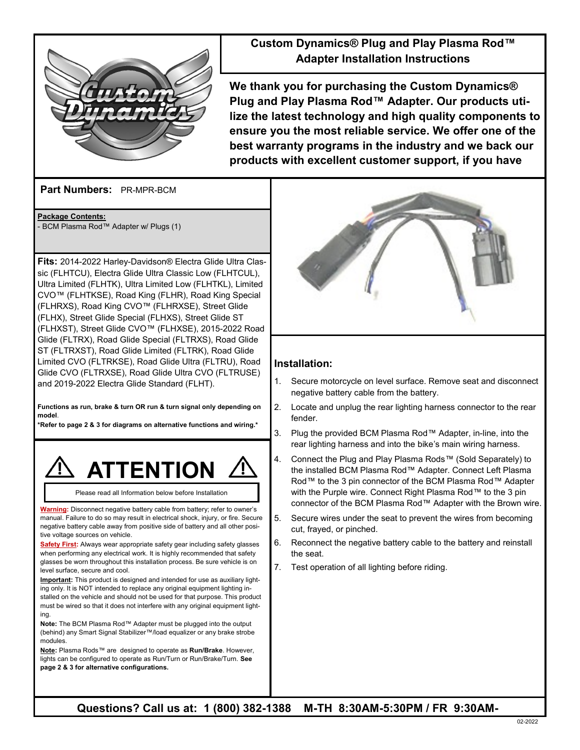

# **Custom Dynamics® Plug and Play Plasma Rod™ Adapter Installation Instructions**

**We thank you for purchasing the Custom Dynamics® Plug and Play Plasma Rod™ Adapter. Our products utilize the latest technology and high quality components to ensure you the most reliable service. We offer one of the best warranty programs in the industry and we back our products with excellent customer support, if you have** 

**Part Numbers:**  PR-MPR-BCM

**Package Contents:** - BCM Plasma Rod™ Adapter w/ Plugs (1)

**Fits:** 2014-2022 Harley-Davidson® Electra Glide Ultra Classic (FLHTCU), Electra Glide Ultra Classic Low (FLHTCUL), Ultra Limited (FLHTK), Ultra Limited Low (FLHTKL), Limited CVO™ (FLHTKSE), Road King (FLHR), Road King Special (FLHRXS), Road King CVO™ (FLHRXSE), Street Glide (FLHX), Street Glide Special (FLHXS), Street Glide ST (FLHXST), Street Glide CVO™ (FLHXSE), 2015-2022 Road Glide (FLTRX), Road Glide Special (FLTRXS), Road Glide ST (FLTRXST), Road Glide Limited (FLTRK), Road Glide Limited CVO (FLTRKSE), Road Glide Ultra (FLTRU), Road Glide CVO (FLTRXSE), Road Glide Ultra CVO (FLTRUSE) and 2019-2022 Electra Glide Standard (FLHT).

**Functions as run, brake & turn OR run & turn signal only depending on model**.

**\*Refer to page 2 & 3 for diagrams on alternative functions and wiring.\***



Please read all Information below before Installation

**Warning:** Disconnect negative battery cable from battery; refer to owner's manual. Failure to do so may result in electrical shock, injury, or fire. Secure negative battery cable away from positive side of battery and all other positive voltage sources on vehicle.

**Safety First:** Always wear appropriate safety gear including safety glasses when performing any electrical work. It is highly recommended that safety glasses be worn throughout this installation process. Be sure vehicle is on level surface, secure and cool.

**Important:** This product is designed and intended for use as auxiliary lighting only. It is NOT intended to replace any original equipment lighting installed on the vehicle and should not be used for that purpose. This product must be wired so that it does not interfere with any original equipment lighting.

**Note:** The BCM Plasma Rod™ Adapter must be plugged into the output (behind) any Smart Signal Stabilizer™/load equalizer or any brake strobe modules.

**Note:** Plasma Rods™ are designed to operate as **Run/Brake**. However, lights can be configured to operate as Run/Turn or Run/Brake/Turn. **See page 2 & 3 for alternative configurations.** 



#### **Installation:**

- 1. Secure motorcycle on level surface. Remove seat and disconnect negative battery cable from the battery.
- 2. Locate and unplug the rear lighting harness connector to the rear fender.
- 3. Plug the provided BCM Plasma Rod™ Adapter, in-line, into the rear lighting harness and into the bike's main wiring harness.
- 4. Connect the Plug and Play Plasma Rods™ (Sold Separately) to the installed BCM Plasma Rod™ Adapter. Connect Left Plasma Rod™ to the 3 pin connector of the BCM Plasma Rod™ Adapter with the Purple wire. Connect Right Plasma Rod™ to the 3 pin connector of the BCM Plasma Rod™ Adapter with the Brown wire.
- 5. Secure wires under the seat to prevent the wires from becoming cut, frayed, or pinched.
- 6. Reconnect the negative battery cable to the battery and reinstall the seat.
- 7. Test operation of all lighting before riding.

**Questions? Call us at: 1 (800) 382-1388 M-TH 8:30AM-5:30PM / FR 9:30AM-**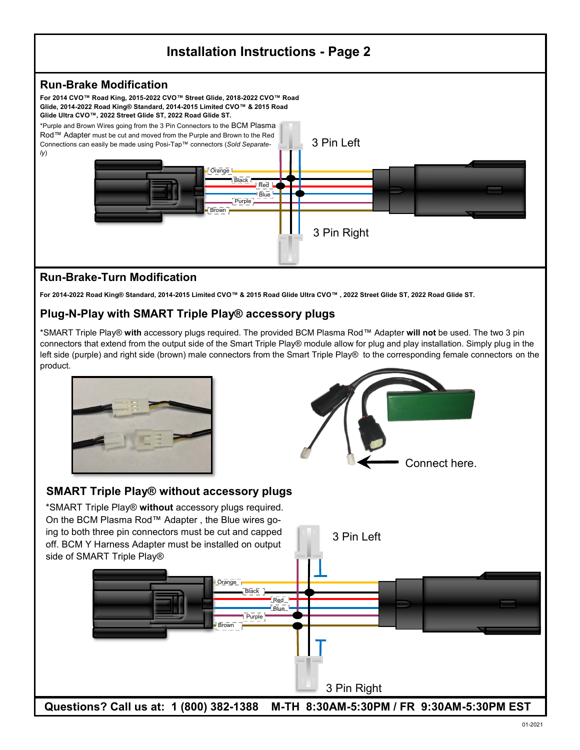

# **Run-Brake-Turn Modification**

**For 2014-2022 Road King® Standard, 2014-2015 Limited CVO™ & 2015 Road Glide Ultra CVO™ , 2022 Street Glide ST, 2022 Road Glide ST.** 

## **Plug-N-Play with SMART Triple Play® accessory plugs**

\*SMART Triple Play® **with** accessory plugs required. The provided BCM Plasma Rod™ Adapter **will not** be used. The two 3 pin connectors that extend from the output side of the Smart Triple Play® module allow for plug and play installation. Simply plug in the left side (purple) and right side (brown) male connectors from the Smart Triple Play® to the corresponding female connectors on the product.





## **SMART Triple Play® without accessory plugs**

\*SMART Triple Play® **without** accessory plugs required. On the BCM Plasma Rod™ Adapter , the Blue wires going to both three pin connectors must be cut and capped off. BCM Y Harness Adapter must be installed on output side of SMART Triple Play®



**Questions? Call us at: 1 (800) 382-1388 M-TH 8:30AM-5:30PM / FR 9:30AM-5:30PM EST**